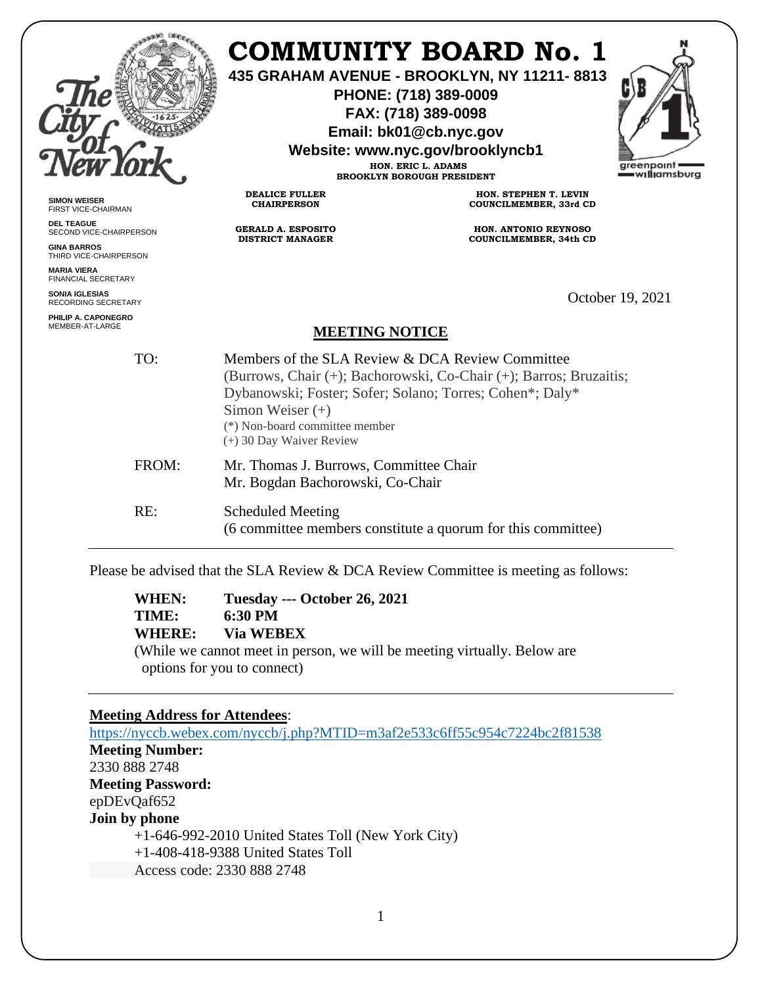|                                              |                                                                                                                                                                                                                                                                        | COMMUNITY BOARD No. 1<br>435 GRAHAM AVENUE - BROOKLYN, NY 11211-8813<br>PHONE: (718) 389-0009<br>FAX: (718) 389-0098<br>Email: bk01@cb.nyc.gov<br>Website: www.nyc.gov/brooklyncb1<br>HON. ERIC L. ADAMS<br><b>BROOKLYN BOROUGH PRESIDENT</b> | greenpoint<br>w <b>ıllı</b> amsburg |
|----------------------------------------------|------------------------------------------------------------------------------------------------------------------------------------------------------------------------------------------------------------------------------------------------------------------------|-----------------------------------------------------------------------------------------------------------------------------------------------------------------------------------------------------------------------------------------------|-------------------------------------|
| <b>SIMON WEISER</b><br>FIRST VICE-CHAIRMAN   | <b>DEALICE FULLER</b><br><b>CHAIRPERSON</b>                                                                                                                                                                                                                            | HON. STEPHEN T. LEVIN<br>COUNCILMEMBER, 33rd CD                                                                                                                                                                                               |                                     |
| <b>DEL TEAGUE</b><br>SECOND VICE-CHAIRPERSON | <b>GERALD A. ESPOSITO</b><br><b>DISTRICT MANAGER</b>                                                                                                                                                                                                                   | HON. ANTONIO REYNOSO                                                                                                                                                                                                                          |                                     |
| <b>GINA BARROS</b><br>THIRD VICE-CHAIRPERSON |                                                                                                                                                                                                                                                                        | COUNCILMEMBER, 34th CD                                                                                                                                                                                                                        |                                     |
| <b>MARIA VIERA</b><br>FINANCIAL SECRETARY    |                                                                                                                                                                                                                                                                        |                                                                                                                                                                                                                                               |                                     |
| <b>SONIA IGLESIAS</b><br>RECORDING SECRETARY |                                                                                                                                                                                                                                                                        |                                                                                                                                                                                                                                               | October 19, 2021                    |
| PHILIP A. CAPONEGRO<br>MEMBER-AT-LARGE       | <b>MEETING NOTICE</b>                                                                                                                                                                                                                                                  |                                                                                                                                                                                                                                               |                                     |
| TO:                                          | Members of the SLA Review & DCA Review Committee<br>(Burrows, Chair (+); Bachorowski, Co-Chair (+); Barros; Bruzaitis;<br>Dybanowski; Foster; Sofer; Solano; Torres; Cohen*; Daly*<br>Simon Weiser $(+)$<br>(*) Non-board committee member<br>(+) 30 Day Waiver Review |                                                                                                                                                                                                                                               |                                     |
| FROM:                                        | Mr. Thomas J. Burrows, Committee Chair<br>Mr. Bogdan Bachorowski, Co-Chair                                                                                                                                                                                             |                                                                                                                                                                                                                                               |                                     |
| RE:                                          | <b>Scheduled Meeting</b><br>(6 committee members constitute a quorum for this committee)                                                                                                                                                                               |                                                                                                                                                                                                                                               |                                     |
|                                              |                                                                                                                                                                                                                                                                        | Please be advised that the SLA Review & DCA Review Committee is meeting as follows:                                                                                                                                                           |                                     |
| WHEN:<br>TIME:<br><b>WHERE:</b>              | Tuesday --- October 26, 2021<br>6:30 PM<br><b>Via WEBEX</b>                                                                                                                                                                                                            | While we connot meet in negating we will be meeting vigtually. Delaw are                                                                                                                                                                      |                                     |

(While we cannot meet in person, we will be meeting virtually. Below are options for you to connect)

# **Meeting Address for Attendees**:

<https://nyccb.webex.com/nyccb/j.php?MTID=m3af2e533c6ff55c954c7224bc2f81538> **Meeting Number:** 2330 888 2748 **Meeting Password:** epDEvQaf652 **Join by phone** +1-646-992-2010 United States Toll (New York City) +1-408-418-9388 United States Toll Access code: 2330 888 2748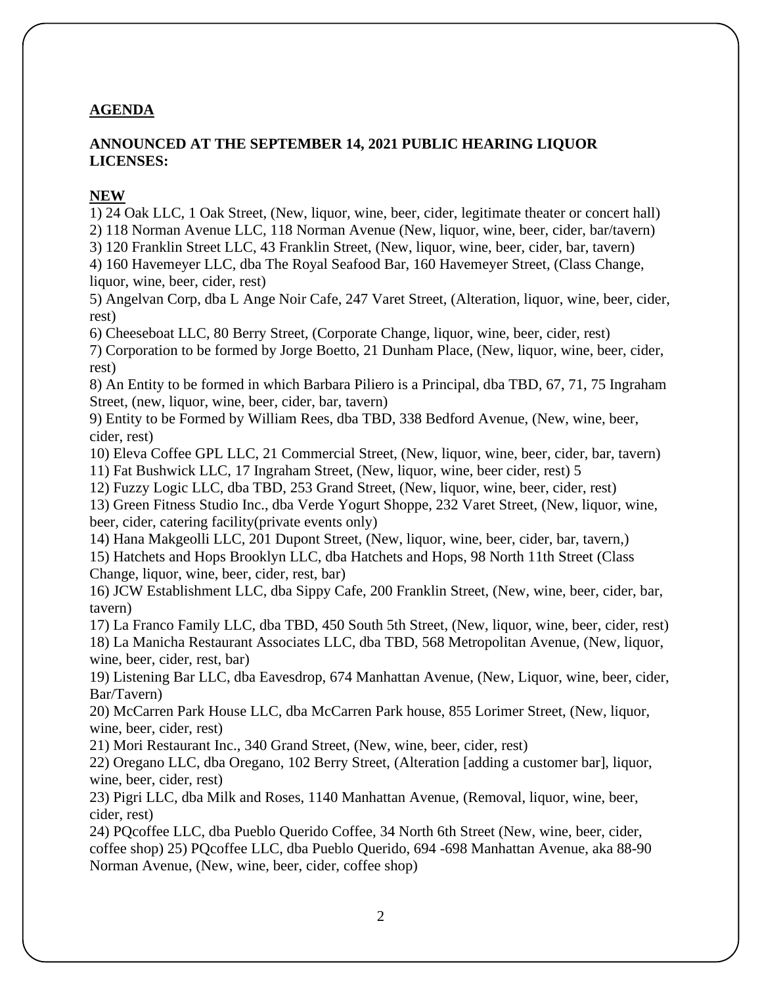# **AGENDA**

## **ANNOUNCED AT THE SEPTEMBER 14, 2021 PUBLIC HEARING LIQUOR LICENSES:**

#### **NEW**

1) 24 Oak LLC, 1 Oak Street, (New, liquor, wine, beer, cider, legitimate theater or concert hall) 2) 118 Norman Avenue LLC, 118 Norman Avenue (New, liquor, wine, beer, cider, bar/tavern)

3) 120 Franklin Street LLC, 43 Franklin Street, (New, liquor, wine, beer, cider, bar, tavern)

4) 160 Havemeyer LLC, dba The Royal Seafood Bar, 160 Havemeyer Street, (Class Change, liquor, wine, beer, cider, rest)

5) Angelvan Corp, dba L Ange Noir Cafe, 247 Varet Street, (Alteration, liquor, wine, beer, cider, rest)

6) Cheeseboat LLC, 80 Berry Street, (Corporate Change, liquor, wine, beer, cider, rest)

7) Corporation to be formed by Jorge Boetto, 21 Dunham Place, (New, liquor, wine, beer, cider, rest)

8) An Entity to be formed in which Barbara Piliero is a Principal, dba TBD, 67, 71, 75 Ingraham Street, (new, liquor, wine, beer, cider, bar, tavern)

9) Entity to be Formed by William Rees, dba TBD, 338 Bedford Avenue, (New, wine, beer, cider, rest)

10) Eleva Coffee GPL LLC, 21 Commercial Street, (New, liquor, wine, beer, cider, bar, tavern) 11) Fat Bushwick LLC, 17 Ingraham Street, (New, liquor, wine, beer cider, rest) 5

12) Fuzzy Logic LLC, dba TBD, 253 Grand Street, (New, liquor, wine, beer, cider, rest)

13) Green Fitness Studio Inc., dba Verde Yogurt Shoppe, 232 Varet Street, (New, liquor, wine, beer, cider, catering facility(private events only)

14) Hana Makgeolli LLC, 201 Dupont Street, (New, liquor, wine, beer, cider, bar, tavern,) 15) Hatchets and Hops Brooklyn LLC, dba Hatchets and Hops, 98 North 11th Street (Class Change, liquor, wine, beer, cider, rest, bar)

16) JCW Establishment LLC, dba Sippy Cafe, 200 Franklin Street, (New, wine, beer, cider, bar, tavern)

17) La Franco Family LLC, dba TBD, 450 South 5th Street, (New, liquor, wine, beer, cider, rest) 18) La Manicha Restaurant Associates LLC, dba TBD, 568 Metropolitan Avenue, (New, liquor, wine, beer, cider, rest, bar)

19) Listening Bar LLC, dba Eavesdrop, 674 Manhattan Avenue, (New, Liquor, wine, beer, cider, Bar/Tavern)

20) McCarren Park House LLC, dba McCarren Park house, 855 Lorimer Street, (New, liquor, wine, beer, cider, rest)

21) Mori Restaurant Inc., 340 Grand Street, (New, wine, beer, cider, rest)

22) Oregano LLC, dba Oregano, 102 Berry Street, (Alteration [adding a customer bar], liquor, wine, beer, cider, rest)

23) Pigri LLC, dba Milk and Roses, 1140 Manhattan Avenue, (Removal, liquor, wine, beer, cider, rest)

24) PQcoffee LLC, dba Pueblo Querido Coffee, 34 North 6th Street (New, wine, beer, cider, coffee shop) 25) PQcoffee LLC, dba Pueblo Querido, 694 -698 Manhattan Avenue, aka 88-90 Norman Avenue, (New, wine, beer, cider, coffee shop)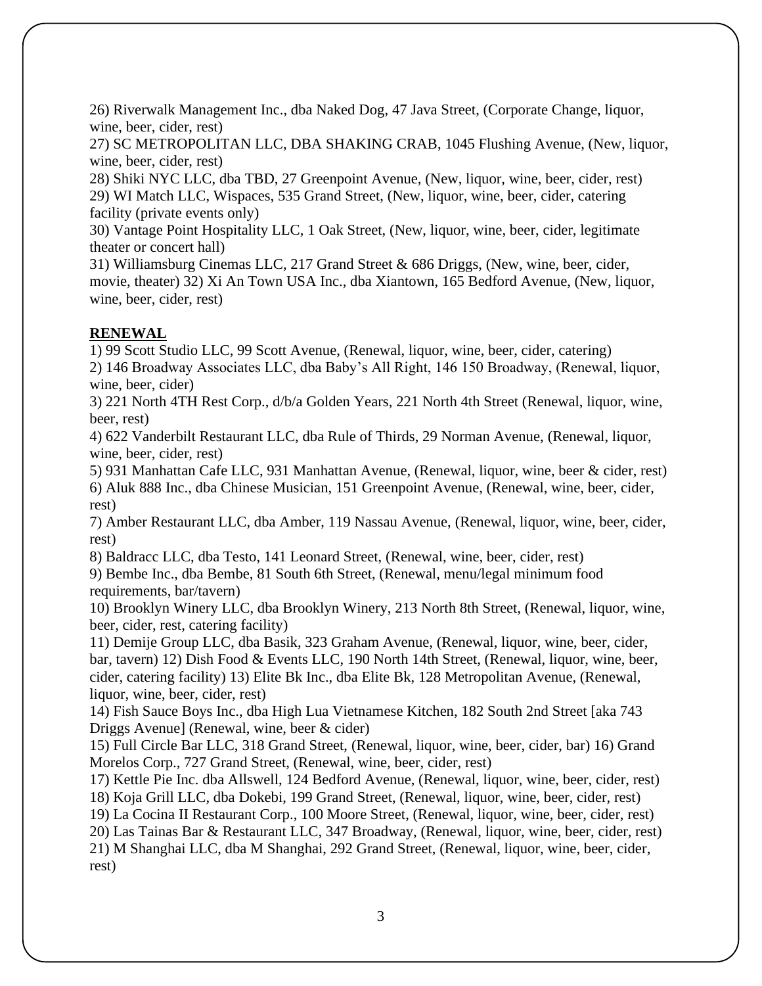26) Riverwalk Management Inc., dba Naked Dog, 47 Java Street, (Corporate Change, liquor, wine, beer, cider, rest)

27) SC METROPOLITAN LLC, DBA SHAKING CRAB, 1045 Flushing Avenue, (New, liquor, wine, beer, cider, rest)

28) Shiki NYC LLC, dba TBD, 27 Greenpoint Avenue, (New, liquor, wine, beer, cider, rest) 29) WI Match LLC, Wispaces, 535 Grand Street, (New, liquor, wine, beer, cider, catering facility (private events only)

30) Vantage Point Hospitality LLC, 1 Oak Street, (New, liquor, wine, beer, cider, legitimate theater or concert hall)

31) Williamsburg Cinemas LLC, 217 Grand Street & 686 Driggs, (New, wine, beer, cider, movie, theater) 32) Xi An Town USA Inc., dba Xiantown, 165 Bedford Avenue, (New, liquor, wine, beer, cider, rest)

# **RENEWAL**

1) 99 Scott Studio LLC, 99 Scott Avenue, (Renewal, liquor, wine, beer, cider, catering) 2) 146 Broadway Associates LLC, dba Baby's All Right, 146 150 Broadway, (Renewal, liquor, wine, beer, cider)

3) 221 North 4TH Rest Corp., d/b/a Golden Years, 221 North 4th Street (Renewal, liquor, wine, beer, rest)

4) 622 Vanderbilt Restaurant LLC, dba Rule of Thirds, 29 Norman Avenue, (Renewal, liquor, wine, beer, cider, rest)

5) 931 Manhattan Cafe LLC, 931 Manhattan Avenue, (Renewal, liquor, wine, beer & cider, rest) 6) Aluk 888 Inc., dba Chinese Musician, 151 Greenpoint Avenue, (Renewal, wine, beer, cider, rest)

7) Amber Restaurant LLC, dba Amber, 119 Nassau Avenue, (Renewal, liquor, wine, beer, cider, rest)

8) Baldracc LLC, dba Testo, 141 Leonard Street, (Renewal, wine, beer, cider, rest) 9) Bembe Inc., dba Bembe, 81 South 6th Street, (Renewal, menu/legal minimum food requirements, bar/tavern)

10) Brooklyn Winery LLC, dba Brooklyn Winery, 213 North 8th Street, (Renewal, liquor, wine, beer, cider, rest, catering facility)

11) Demije Group LLC, dba Basik, 323 Graham Avenue, (Renewal, liquor, wine, beer, cider, bar, tavern) 12) Dish Food & Events LLC, 190 North 14th Street, (Renewal, liquor, wine, beer, cider, catering facility) 13) Elite Bk Inc., dba Elite Bk, 128 Metropolitan Avenue, (Renewal, liquor, wine, beer, cider, rest)

14) Fish Sauce Boys Inc., dba High Lua Vietnamese Kitchen, 182 South 2nd Street [aka 743 Driggs Avenue] (Renewal, wine, beer & cider)

15) Full Circle Bar LLC, 318 Grand Street, (Renewal, liquor, wine, beer, cider, bar) 16) Grand Morelos Corp., 727 Grand Street, (Renewal, wine, beer, cider, rest)

17) Kettle Pie Inc. dba Allswell, 124 Bedford Avenue, (Renewal, liquor, wine, beer, cider, rest) 18) Koja Grill LLC, dba Dokebi, 199 Grand Street, (Renewal, liquor, wine, beer, cider, rest)

19) La Cocina II Restaurant Corp., 100 Moore Street, (Renewal, liquor, wine, beer, cider, rest)

20) Las Tainas Bar & Restaurant LLC, 347 Broadway, (Renewal, liquor, wine, beer, cider, rest) 21) M Shanghai LLC, dba M Shanghai, 292 Grand Street, (Renewal, liquor, wine, beer, cider, rest)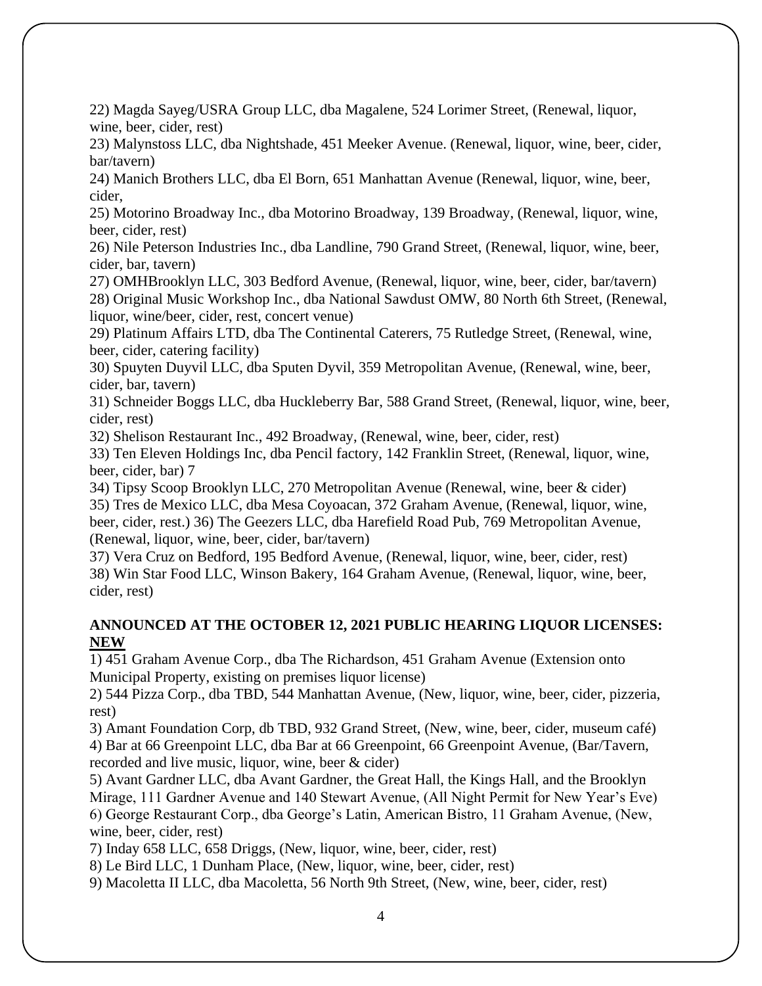22) Magda Sayeg/USRA Group LLC, dba Magalene, 524 Lorimer Street, (Renewal, liquor, wine, beer, cider, rest)

23) Malynstoss LLC, dba Nightshade, 451 Meeker Avenue. (Renewal, liquor, wine, beer, cider, bar/tavern)

24) Manich Brothers LLC, dba El Born, 651 Manhattan Avenue (Renewal, liquor, wine, beer, cider,

25) Motorino Broadway Inc., dba Motorino Broadway, 139 Broadway, (Renewal, liquor, wine, beer, cider, rest)

26) Nile Peterson Industries Inc., dba Landline, 790 Grand Street, (Renewal, liquor, wine, beer, cider, bar, tavern)

27) OMHBrooklyn LLC, 303 Bedford Avenue, (Renewal, liquor, wine, beer, cider, bar/tavern) 28) Original Music Workshop Inc., dba National Sawdust OMW, 80 North 6th Street, (Renewal, liquor, wine/beer, cider, rest, concert venue)

29) Platinum Affairs LTD, dba The Continental Caterers, 75 Rutledge Street, (Renewal, wine, beer, cider, catering facility)

30) Spuyten Duyvil LLC, dba Sputen Dyvil, 359 Metropolitan Avenue, (Renewal, wine, beer, cider, bar, tavern)

31) Schneider Boggs LLC, dba Huckleberry Bar, 588 Grand Street, (Renewal, liquor, wine, beer, cider, rest)

32) Shelison Restaurant Inc., 492 Broadway, (Renewal, wine, beer, cider, rest)

33) Ten Eleven Holdings Inc, dba Pencil factory, 142 Franklin Street, (Renewal, liquor, wine, beer, cider, bar) 7

34) Tipsy Scoop Brooklyn LLC, 270 Metropolitan Avenue (Renewal, wine, beer & cider) 35) Tres de Mexico LLC, dba Mesa Coyoacan, 372 Graham Avenue, (Renewal, liquor, wine, beer, cider, rest.) 36) The Geezers LLC, dba Harefield Road Pub, 769 Metropolitan Avenue, (Renewal, liquor, wine, beer, cider, bar/tavern)

37) Vera Cruz on Bedford, 195 Bedford Avenue, (Renewal, liquor, wine, beer, cider, rest) 38) Win Star Food LLC, Winson Bakery, 164 Graham Avenue, (Renewal, liquor, wine, beer, cider, rest)

## **ANNOUNCED AT THE OCTOBER 12, 2021 PUBLIC HEARING LIQUOR LICENSES: NEW**

1) 451 Graham Avenue Corp., dba The Richardson, 451 Graham Avenue (Extension onto Municipal Property, existing on premises liquor license)

2) 544 Pizza Corp., dba TBD, 544 Manhattan Avenue, (New, liquor, wine, beer, cider, pizzeria, rest)

3) Amant Foundation Corp, db TBD, 932 Grand Street, (New, wine, beer, cider, museum café) 4) Bar at 66 Greenpoint LLC, dba Bar at 66 Greenpoint, 66 Greenpoint Avenue, (Bar/Tavern, recorded and live music, liquor, wine, beer & cider)

5) Avant Gardner LLC, dba Avant Gardner, the Great Hall, the Kings Hall, and the Brooklyn Mirage, 111 Gardner Avenue and 140 Stewart Avenue, (All Night Permit for New Year's Eve) 6) George Restaurant Corp., dba George's Latin, American Bistro, 11 Graham Avenue, (New, wine, beer, cider, rest)

7) Inday 658 LLC, 658 Driggs, (New, liquor, wine, beer, cider, rest)

8) Le Bird LLC, 1 Dunham Place, (New, liquor, wine, beer, cider, rest)

9) Macoletta II LLC, dba Macoletta, 56 North 9th Street, (New, wine, beer, cider, rest)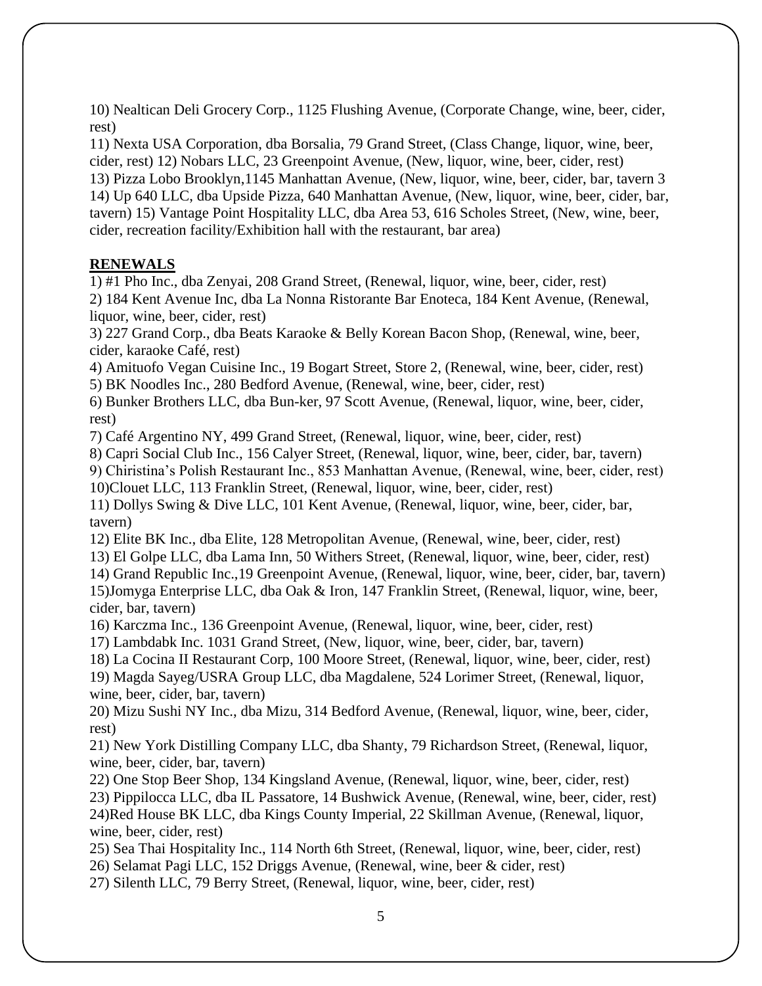10) Nealtican Deli Grocery Corp., 1125 Flushing Avenue, (Corporate Change, wine, beer, cider, rest)

11) Nexta USA Corporation, dba Borsalia, 79 Grand Street, (Class Change, liquor, wine, beer, cider, rest) 12) Nobars LLC, 23 Greenpoint Avenue, (New, liquor, wine, beer, cider, rest)

13) Pizza Lobo Brooklyn,1145 Manhattan Avenue, (New, liquor, wine, beer, cider, bar, tavern 3 14) Up 640 LLC, dba Upside Pizza, 640 Manhattan Avenue, (New, liquor, wine, beer, cider, bar, tavern) 15) Vantage Point Hospitality LLC, dba Area 53, 616 Scholes Street, (New, wine, beer, cider, recreation facility/Exhibition hall with the restaurant, bar area)

#### **RENEWALS**

1) #1 Pho Inc., dba Zenyai, 208 Grand Street, (Renewal, liquor, wine, beer, cider, rest) 2) 184 Kent Avenue Inc, dba La Nonna Ristorante Bar Enoteca, 184 Kent Avenue, (Renewal, liquor, wine, beer, cider, rest)

3) 227 Grand Corp., dba Beats Karaoke & Belly Korean Bacon Shop, (Renewal, wine, beer, cider, karaoke Café, rest)

4) Amituofo Vegan Cuisine Inc., 19 Bogart Street, Store 2, (Renewal, wine, beer, cider, rest)

5) BK Noodles Inc., 280 Bedford Avenue, (Renewal, wine, beer, cider, rest)

6) Bunker Brothers LLC, dba Bun-ker, 97 Scott Avenue, (Renewal, liquor, wine, beer, cider, rest)

7) Café Argentino NY, 499 Grand Street, (Renewal, liquor, wine, beer, cider, rest)

8) Capri Social Club Inc., 156 Calyer Street, (Renewal, liquor, wine, beer, cider, bar, tavern)

9) Chiristina's Polish Restaurant Inc., 853 Manhattan Avenue, (Renewal, wine, beer, cider, rest)

10)Clouet LLC, 113 Franklin Street, (Renewal, liquor, wine, beer, cider, rest)

11) Dollys Swing & Dive LLC, 101 Kent Avenue, (Renewal, liquor, wine, beer, cider, bar, tavern)

12) Elite BK Inc., dba Elite, 128 Metropolitan Avenue, (Renewal, wine, beer, cider, rest)

13) El Golpe LLC, dba Lama Inn, 50 Withers Street, (Renewal, liquor, wine, beer, cider, rest)

14) Grand Republic Inc.,19 Greenpoint Avenue, (Renewal, liquor, wine, beer, cider, bar, tavern) 15)Jomyga Enterprise LLC, dba Oak & Iron, 147 Franklin Street, (Renewal, liquor, wine, beer, cider, bar, tavern)

16) Karczma Inc., 136 Greenpoint Avenue, (Renewal, liquor, wine, beer, cider, rest)

17) Lambdabk Inc. 1031 Grand Street, (New, liquor, wine, beer, cider, bar, tavern)

18) La Cocina II Restaurant Corp, 100 Moore Street, (Renewal, liquor, wine, beer, cider, rest) 19) Magda Sayeg/USRA Group LLC, dba Magdalene, 524 Lorimer Street, (Renewal, liquor, wine, beer, cider, bar, tavern)

20) Mizu Sushi NY Inc., dba Mizu, 314 Bedford Avenue, (Renewal, liquor, wine, beer, cider, rest)

21) New York Distilling Company LLC, dba Shanty, 79 Richardson Street, (Renewal, liquor, wine, beer, cider, bar, tavern)

22) One Stop Beer Shop, 134 Kingsland Avenue, (Renewal, liquor, wine, beer, cider, rest) 23) Pippilocca LLC, dba IL Passatore, 14 Bushwick Avenue, (Renewal, wine, beer, cider, rest) 24)Red House BK LLC, dba Kings County Imperial, 22 Skillman Avenue, (Renewal, liquor, wine, beer, cider, rest)

25) Sea Thai Hospitality Inc., 114 North 6th Street, (Renewal, liquor, wine, beer, cider, rest) 26) Selamat Pagi LLC, 152 Driggs Avenue, (Renewal, wine, beer & cider, rest)

27) Silenth LLC, 79 Berry Street, (Renewal, liquor, wine, beer, cider, rest)